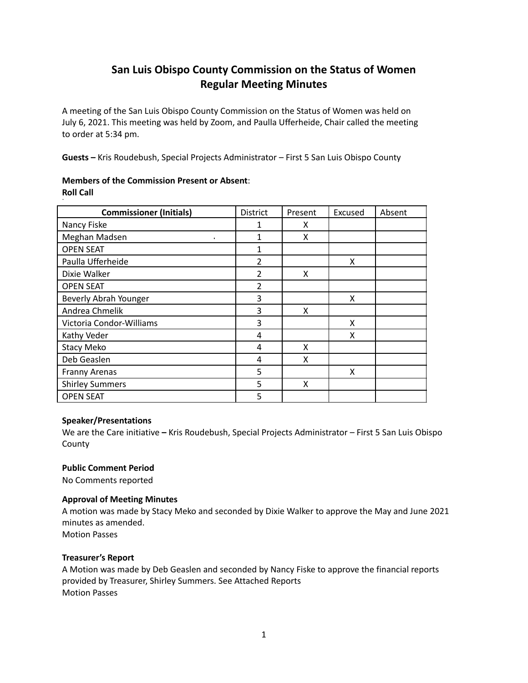# **San Luis Obispo County Commission on the Status of Women Regular Meeting Minutes**

A meeting of the San Luis Obispo County Commission on the Status of Women was held on July 6, 2021. This meeting was held by Zoom, and Paulla Ufferheide, Chair called the meeting to order at 5:34 pm.

**Guests –** Kris Roudebush, Special Projects Administrator – First 5 San Luis Obispo County

# **Members of the Commission Present or Absent**: **Roll Call**

| <b>Commissioner (Initials)</b> | <b>District</b> | Present | Excused | Absent |
|--------------------------------|-----------------|---------|---------|--------|
| Nancy Fiske                    | 1               | x       |         |        |
| Meghan Madsen                  | 1               | X       |         |        |
| <b>OPEN SEAT</b>               | 1               |         |         |        |
| Paulla Ufferheide              | $\overline{2}$  |         | X       |        |
| Dixie Walker                   | $\overline{2}$  | X       |         |        |
| <b>OPEN SEAT</b>               | $\overline{2}$  |         |         |        |
| Beverly Abrah Younger          | 3               |         | X       |        |
| Andrea Chmelik                 | 3               | X       |         |        |
| Victoria Condor-Williams       | 3               |         | X       |        |
| Kathy Veder                    | 4               |         | X       |        |
| <b>Stacy Meko</b>              | 4               | X       |         |        |
| Deb Geaslen                    | 4               | X       |         |        |
| <b>Franny Arenas</b>           | 5               |         | X       |        |
| <b>Shirley Summers</b>         | 5               | X       |         |        |
| <b>OPEN SEAT</b>               | 5               |         |         |        |

# **Speaker/Presentations**

We are the Care initiative **–** Kris Roudebush, Special Projects Administrator – First 5 San Luis Obispo County

# **Public Comment Period**

No Comments reported

# **Approval of Meeting Minutes**

A motion was made by Stacy Meko and seconded by Dixie Walker to approve the May and June 2021 minutes as amended.

Motion Passes

# **Treasurer's Report**

A Motion was made by Deb Geaslen and seconded by Nancy Fiske to approve the financial reports provided by Treasurer, Shirley Summers. See Attached Reports Motion Passes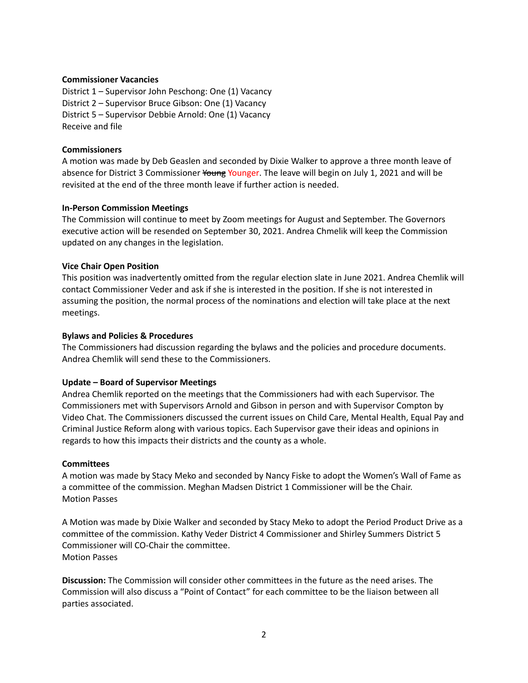### **Commissioner Vacancies**

District 1 – Supervisor John Peschong: One (1) Vacancy District 2 – Supervisor Bruce Gibson: One (1) Vacancy District 5 – Supervisor Debbie Arnold: One (1) Vacancy Receive and file

# **Commissioners**

A motion was made by Deb Geaslen and seconded by Dixie Walker to approve a three month leave of absence for District 3 Commissioner Younger. The leave will begin on July 1, 2021 and will be revisited at the end of the three month leave if further action is needed.

## **In-Person Commission Meetings**

The Commission will continue to meet by Zoom meetings for August and September. The Governors executive action will be resended on September 30, 2021. Andrea Chmelik will keep the Commission updated on any changes in the legislation.

## **Vice Chair Open Position**

This position was inadvertently omitted from the regular election slate in June 2021. Andrea Chemlik will contact Commissioner Veder and ask if she is interested in the position. If she is not interested in assuming the position, the normal process of the nominations and election will take place at the next meetings.

## **Bylaws and Policies & Procedures**

The Commissioners had discussion regarding the bylaws and the policies and procedure documents. Andrea Chemlik will send these to the Commissioners.

# **Update – Board of Supervisor Meetings**

Andrea Chemlik reported on the meetings that the Commissioners had with each Supervisor. The Commissioners met with Supervisors Arnold and Gibson in person and with Supervisor Compton by Video Chat. The Commissioners discussed the current issues on Child Care, Mental Health, Equal Pay and Criminal Justice Reform along with various topics. Each Supervisor gave their ideas and opinions in regards to how this impacts their districts and the county as a whole.

### **Committees**

A motion was made by Stacy Meko and seconded by Nancy Fiske to adopt the Women's Wall of Fame as a committee of the commission. Meghan Madsen District 1 Commissioner will be the Chair. Motion Passes

A Motion was made by Dixie Walker and seconded by Stacy Meko to adopt the Period Product Drive as a committee of the commission. Kathy Veder District 4 Commissioner and Shirley Summers District 5 Commissioner will CO-Chair the committee. Motion Passes

**Discussion:** The Commission will consider other committees in the future as the need arises. The Commission will also discuss a "Point of Contact" for each committee to be the liaison between all parties associated.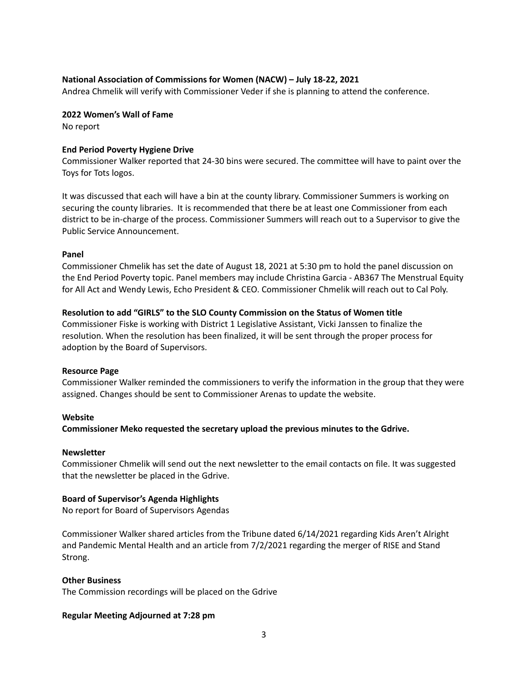# **National Association of Commissions for Women (NACW) – July 18-22, 2021**

Andrea Chmelik will verify with Commissioner Veder if she is planning to attend the conference.

#### **2022 Women's Wall of Fame**

No report

#### **End Period Poverty Hygiene Drive**

Commissioner Walker reported that 24-30 bins were secured. The committee will have to paint over the Toys for Tots logos.

It was discussed that each will have a bin at the county library. Commissioner Summers is working on securing the county libraries. It is recommended that there be at least one Commissioner from each district to be in-charge of the process. Commissioner Summers will reach out to a Supervisor to give the Public Service Announcement.

#### **Panel**

Commissioner Chmelik has set the date of August 18, 2021 at 5:30 pm to hold the panel discussion on the End Period Poverty topic. Panel members may include Christina Garcia - AB367 The Menstrual Equity for All Act and Wendy Lewis, Echo President & CEO. Commissioner Chmelik will reach out to Cal Poly.

### **Resolution to add "GIRLS" to the SLO County Commission on the Status of Women title**

Commissioner Fiske is working with District 1 Legislative Assistant, Vicki Janssen to finalize the resolution. When the resolution has been finalized, it will be sent through the proper process for adoption by the Board of Supervisors.

### **Resource Page**

Commissioner Walker reminded the commissioners to verify the information in the group that they were assigned. Changes should be sent to Commissioner Arenas to update the website.

### **Website**

**Commissioner Meko requested the secretary upload the previous minutes to the Gdrive.**

#### **Newsletter**

Commissioner Chmelik will send out the next newsletter to the email contacts on file. It was suggested that the newsletter be placed in the Gdrive.

#### **Board of Supervisor's Agenda Highlights**

No report for Board of Supervisors Agendas

Commissioner Walker shared articles from the Tribune dated 6/14/2021 regarding Kids Aren't Alright and Pandemic Mental Health and an article from 7/2/2021 regarding the merger of RISE and Stand Strong.

#### **Other Business**

The Commission recordings will be placed on the Gdrive

### **Regular Meeting Adjourned at 7:28 pm**